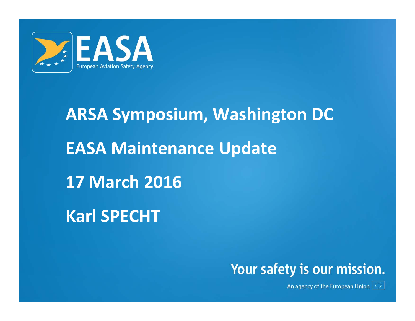

# **ARSA Symposium, Washington DC EASA Maintenance Update 17 March 2016 Karl SPECHT**



An agency of the European Union  $|\mathbb{O}|$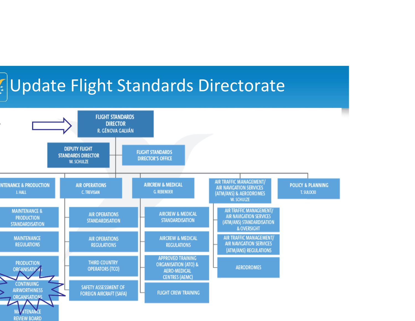

**REVIEW BOARD** 

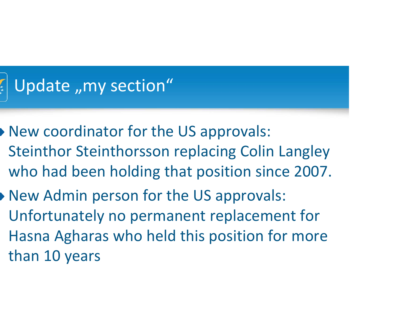

- New coordinator for the US approvals: Steinthor Steinthorsson replacing Colin Langley who had been holding that position since 2007.
- New Admin person for the US approvals: Unfortunately no permanent replacement for Hasna Agharas who held this position for more than 10 years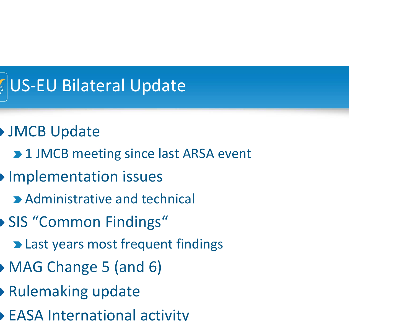

- JMCB Update
	- 1 JMCB meeting since last ARSA event
- **Implementation issues** 
	- Administrative and technical
- SIS "Common Findings"
	- Last years most frequent findings
- MAG Change 5 (and 6)
- Rulemaking update
- EASA International activity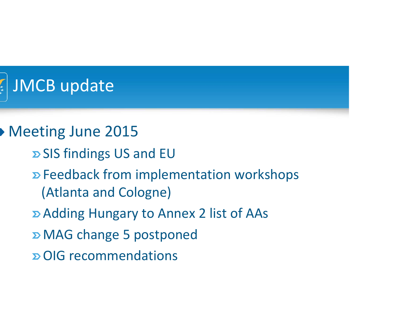

#### Meeting June 2015

- SIS findings US and EU
- Feedback from implementation workshops (Atlanta and Cologne)
- Adding Hungary to Annex 2 list of AAs
- MAG change 5 postponed
- OIG recommendations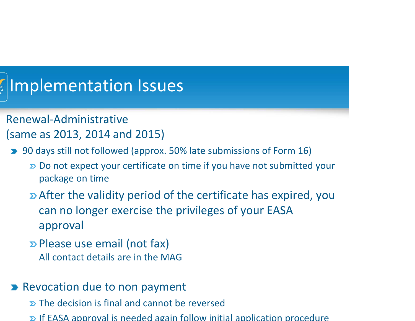# Implementation Issues

- Renewal‐Administrative(same as 2013, 2014 and 2015)
- 90 days still not followed (approx. 50% late submissions of Form 16)
	- Do not expect your certificate on time if you have not submitted your package on time
	- After the validity period of the certificate has expired, you can no longer exercise the privileges of your EASA approval
	- Please use email (not fax) All contact details are in the MAG
- Revocation due to non payment
	- The decision is final and cannot be reversed
	- If EASA approval is needed again follow initial application procedure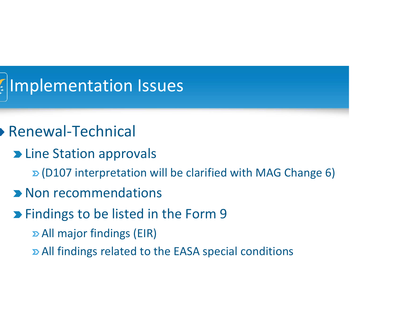

#### Renewal‐Technical

- Line Station approvals
	- $\mathbf{D}$  (D107 interpretation will be clarified with MAG Change 6)
- Non recommendations

#### **Example 1** Findings to be listed in the Form 9

- All major findings (EIR)
- All findings related to the EASA special conditions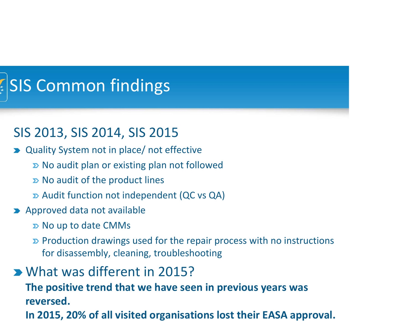# SIS Common findings

#### SIS 2013, SIS 2014, SIS 2015

- Quality System not in place/ not effective
	- $\triangleright$  No audit plan or existing plan not followed
	- No audit of the product lines
	- Audit function not independent (QC vs QA)
- **Approved data not available** 
	- $\triangleright$  No up to date CMMs
	- Production drawings used for the repair process with no instructions for disassembly, cleaning, troubleshooting
- What was different in 2015?

**The positive trend that we have seen in previous years was reversed.**

**In 2015, 20% of all visited organisations lost their EASA approval.**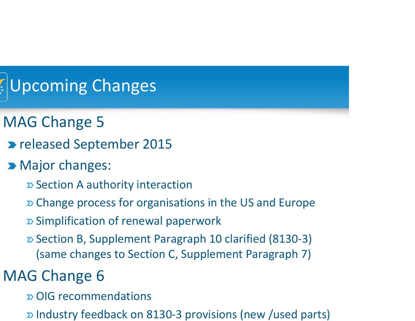# Upcoming Changes

- MAG Change 5
- released September 2015
- **Major changes:** 
	- Section A authority interaction
	- **D** Change process for organisations in the US and Europe
	- $\Sigma$  Simplification of renewal paperwork
	- Section B, Supplement Paragraph 10 clarified (8130‐3) (same changes to Section C, Supplement Paragraph 7)

### MAG Change 6

- OIG recommendations
- D Industry feedback on 8130-3 provisions (new /used parts)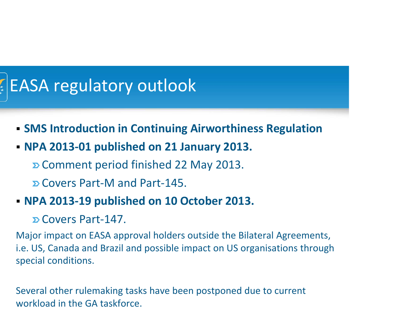# EASA regulatory outlook

- **SMS Introduction in Continuing Airworthiness Regulation**
- **NPA 2013‐01 published on 21 January 2013.**
	- Comment period finished 22 May 2013.
	- Covers Part‐M and Part‐145.
- **NPA 2013‐19 published on 10 October 2013.**
	- Covers Part‐147.

Major impact on EASA approval holders outside the Bilateral Agreements, i.e. US, Canada and Brazil and possible impact on US organisations through special conditions.

Several other rulemaking tasks have been postponed due to current workload in the GA taskforce.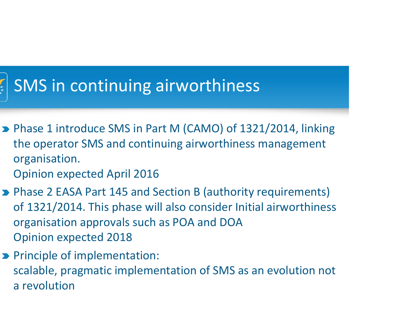## SMS in continuing airworthiness

- Phase 1 introduce SMS in Part M (CAMO) of 1321/2014, linking the operator SMS and continuing airworthiness management organisation.
	- Opinion expected April 2016
- Phase 2 EASA Part 145 and Section B (authority requirements) of 1321/2014. This phase will also consider Initial airworthiness organisation approvals such as POA and DOA Opinion expected 2018
- **Principle of implementation:** scalable, pragmatic implementation of SMS as an evolution not a revolution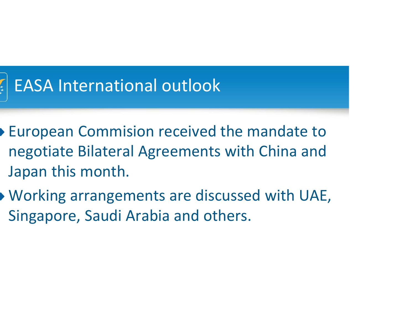

### EASA International outlook

- European Commision received the mandate to negotiate Bilateral Agreements with China and Japan this month.
- Working arrangements are discussed with UAE, Singapore, Saudi Arabia and others.